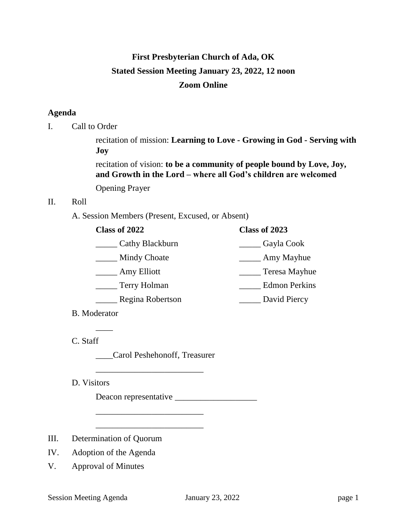# **First Presbyterian Church of Ada, OK Stated Session Meeting January 23, 2022, 12 noon Zoom Online**

# **Agenda**

I. Call to Order

recitation of mission: **Learning to Love - Growing in God - Serving with Joy**

recitation of vision: **to be a community of people bound by Love, Joy, and Growth in the Lord – where all God's children are welcomed**

Opening Prayer

## II. Roll

A. Session Members (Present, Excused, or Absent)

| Class of 2023        |
|----------------------|
| Gayla Cook           |
| Amy Mayhue           |
| Teresa Mayhue        |
| <b>Edmon Perkins</b> |
| David Piercy         |
|                      |

B. Moderator

 $\overline{\phantom{a}}$ 

C. Staff

\_\_\_\_Carol Peshehonoff, Treasurer

\_\_\_\_\_\_\_\_\_\_\_\_\_\_\_\_\_\_\_\_\_\_\_\_\_

\_\_\_\_\_\_\_\_\_\_\_\_\_\_\_\_\_\_\_\_\_\_\_\_\_

\_\_\_\_\_\_\_\_\_\_\_\_\_\_\_\_\_\_\_\_\_\_\_\_\_

D. Visitors

Deacon representative \_\_\_\_\_\_\_\_\_\_\_\_\_\_\_\_\_\_\_

- III. Determination of Quorum
- IV. Adoption of the Agenda
- V. Approval of Minutes

Session Meeting Agenda January 23, 2022 page 1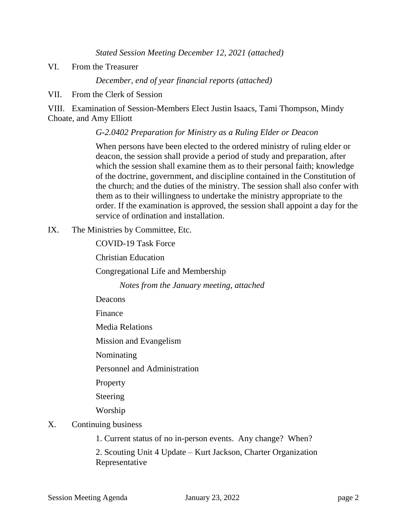*Stated Session Meeting December 12, 2021 (attached)*

VI. From the Treasurer

*December, end of year financial reports (attached)*

VII. From the Clerk of Session

VIII. Examination of Session-Members Elect Justin Isaacs, Tami Thompson, Mindy Choate, and Amy Elliott

## *G-2.0402 Preparation for Ministry as a Ruling Elder or Deacon*

When persons have been elected to the ordered ministry of ruling elder or deacon, the session shall provide a period of study and preparation, after which the session shall examine them as to their personal faith; knowledge of the doctrine, government, and discipline contained in the Constitution of the church; and the duties of the ministry. The session shall also confer with them as to their willingness to undertake the ministry appropriate to the order. If the examination is approved, the session shall appoint a day for the service of ordination and installation.

IX. The Ministries by Committee, Etc.

COVID-19 Task Force

Christian Education

Congregational Life and Membership

*Notes from the January meeting, attached*

Deacons

Finance

Media Relations

Mission and Evangelism

Nominating

Personnel and Administration

Property

Steering

Worship

- X. Continuing business
	- 1. Current status of no in-person events. Any change? When?

2. Scouting Unit 4 Update – Kurt Jackson, Charter Organization Representative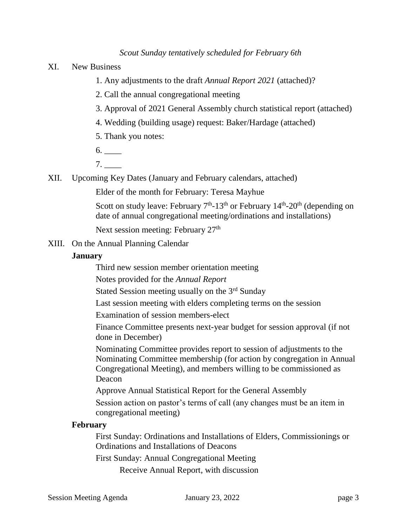## *Scout Sunday tentatively scheduled for February 6th*

- XI. New Business
	- 1. Any adjustments to the draft *Annual Report 2021* (attached)?
	- 2. Call the annual congregational meeting
	- 3. Approval of 2021 General Assembly church statistical report (attached)
	- 4. Wedding (building usage) request: Baker/Hardage (attached)
	- 5. Thank you notes:
	- $6.$
	- 7. \_\_\_\_
- XII. Upcoming Key Dates (January and February calendars, attached)

Elder of the month for February: Teresa Mayhue

Scott on study leave: February  $7<sup>th</sup>$ -13<sup>th</sup> or February 14<sup>th</sup>-20<sup>th</sup> (depending on date of annual congregational meeting/ordinations and installations)

Next session meeting: February 27<sup>th</sup>

XIII. On the Annual Planning Calendar

### **January**

Third new session member orientation meeting

Notes provided for the *Annual Report*

Stated Session meeting usually on the 3rd Sunday

Last session meeting with elders completing terms on the session

Examination of session members-elect

Finance Committee presents next-year budget for session approval (if not done in December)

Nominating Committee provides report to session of adjustments to the Nominating Committee membership (for action by congregation in Annual Congregational Meeting), and members willing to be commissioned as Deacon

Approve Annual Statistical Report for the General Assembly

Session action on pastor's terms of call (any changes must be an item in congregational meeting)

### **February**

First Sunday: Ordinations and Installations of Elders, Commissionings or Ordinations and Installations of Deacons

First Sunday: Annual Congregational Meeting

Receive Annual Report, with discussion